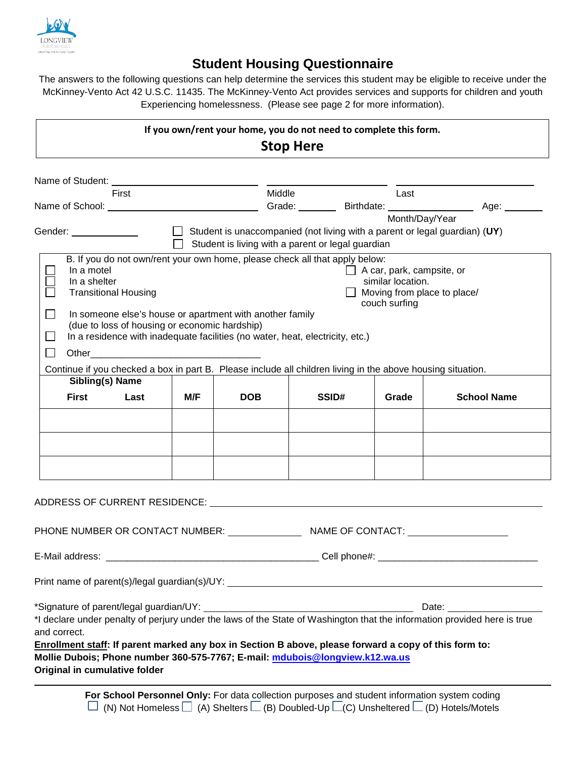

## **Student Housing Questionnaire**

The answers to the following questions can help determine the services this student may be eligible to receive under the McKinney-Vento Act 42 U.S.C. 11435. The McKinney-Vento Act provides services and supports for children and youth Experiencing homelessness. (Please see page 2 for more information).

| If you own/rent your home, you do not need to complete this form.<br><b>Stop Here</b>                                                                                                                                                                                                                                                                                                                                                                                                            |     |            |                                                   |                                                                                                       |                                                                                   |
|--------------------------------------------------------------------------------------------------------------------------------------------------------------------------------------------------------------------------------------------------------------------------------------------------------------------------------------------------------------------------------------------------------------------------------------------------------------------------------------------------|-----|------------|---------------------------------------------------|-------------------------------------------------------------------------------------------------------|-----------------------------------------------------------------------------------|
| First                                                                                                                                                                                                                                                                                                                                                                                                                                                                                            |     | Middle     |                                                   | Last                                                                                                  |                                                                                   |
|                                                                                                                                                                                                                                                                                                                                                                                                                                                                                                  |     |            |                                                   |                                                                                                       | Grade: Birthdate: Age: Age: National Age:                                         |
| Gender: ______________                                                                                                                                                                                                                                                                                                                                                                                                                                                                           |     |            | Student is living with a parent or legal guardian | Month/Day/Year                                                                                        | $\Box$ Student is unaccompanied (not living with a parent or legal guardian) (UY) |
| B. If you do not own/rent your own home, please check all that apply below:<br>In a motel<br>In a shelter<br><b>Transitional Housing</b><br>In someone else's house or apartment with another family<br>(due to loss of housing or economic hardship)<br>In a residence with inadequate facilities (no water, heat, electricity, etc.)<br>Other <u>__________________________</u><br>Continue if you checked a box in part B. Please include all children living in the above housing situation. |     |            |                                                   | $\Box$ A car, park, campsite, or<br>similar location.<br>Moving from place to place/<br>couch surfing |                                                                                   |
| Sibling(s) Name<br><b>First</b><br>Last                                                                                                                                                                                                                                                                                                                                                                                                                                                          | M/F | <b>DOB</b> | SSID#                                             | Grade                                                                                                 | <b>School Name</b>                                                                |
|                                                                                                                                                                                                                                                                                                                                                                                                                                                                                                  |     |            |                                                   |                                                                                                       |                                                                                   |
| ADDRESS OF CURRENT RESIDENCE: A CONTROLLER STATES OF STATES AND THE STATES OF CURRENT RESIDENCE:                                                                                                                                                                                                                                                                                                                                                                                                 |     |            |                                                   |                                                                                                       |                                                                                   |
|                                                                                                                                                                                                                                                                                                                                                                                                                                                                                                  |     |            |                                                   |                                                                                                       |                                                                                   |
|                                                                                                                                                                                                                                                                                                                                                                                                                                                                                                  |     |            |                                                   |                                                                                                       |                                                                                   |
|                                                                                                                                                                                                                                                                                                                                                                                                                                                                                                  |     |            |                                                   |                                                                                                       |                                                                                   |
| *I declare under penalty of perjury under the laws of the State of Washington that the information provided here is true<br>and correct.<br>Enrollment staff: If parent marked any box in Section B above, please forward a copy of this form to:<br>Mollie Dubois; Phone number 360-575-7767; E-mail: mdubois@longview.k12.wa.us<br>Original in cumulative folder                                                                                                                               |     |            |                                                   |                                                                                                       | Date: <u>_______________</u>                                                      |

For School Personnel Only: For data collection purposes and student information system coding  $\Box$  (N) Not Homeless  $\Box$  (A) Shelters  $\Box$  (B) Doubled-Up  $\Box$ (C) Unsheltered  $\Box$  (D) Hotels/Motels